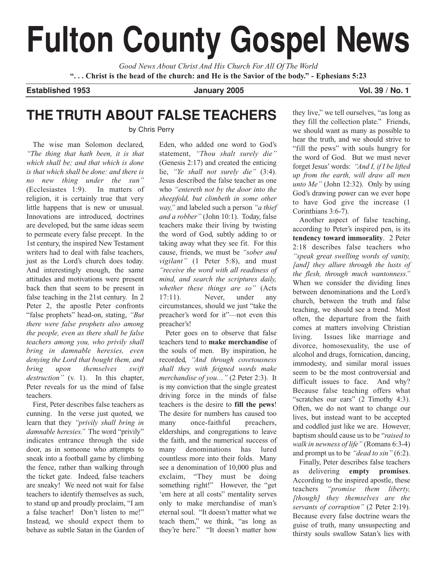# **Fulton County Gospel News**

*Good News About Christ And His Church For All Of The World* **". . . Christ is the head of the church: and He is the Savior of the body." - Ephesians 5:23**

**Established 1953 January 2005 Vol. 39 / No. 1**

# **THE TRUTH ABOUT FALSE TEACHERS**

by Chris Perry

The wise man Solomon declared, *"The thing that hath been, it is that which shall be; and that which is done is that which shall be done: and there is no new thing under the sun"* (Ecclesiastes 1:9). In matters of religion, it is certainly true that very little happens that is new or unusual. Innovations are introduced, doctrines are developed, but the same ideas seem to permeate every false precept. In the 1st century, the inspired New Testament writers had to deal with false teachers, just as the Lord's church does today. And interestingly enough, the same attitudes and motivations were present back then that seem to be present in false teaching in the 21st century. In 2 Peter 2, the apostle Peter confronts "false prophets" head-on, stating, *"But there were false prophets also among the people, even as there shall be false teachers among you, who privily shall bring in damnable heresies, even denying the Lord that bought them, and bring upon themselves swift destruction"* (v. 1). In this chapter, Peter reveals for us the mind of false teachers.

First, Peter describes false teachers as cunning. In the verse just quoted, we learn that they *"privily shall bring in damnable heresies."* The word "privily" indicates entrance through the side door, as in someone who attempts to sneak into a football game by climbing the fence, rather than walking through the ticket gate. Indeed, false teachers are sneaky! We need not wait for false teachers to identify themselves as such, to stand up and proudly proclaim, "I am a false teacher! Don't listen to me!" Instead, we should expect them to behave as subtle Satan in the Garden of Eden, who added one word to God's statement, *"Thou shalt surely die"* (Genesis 2:17) and created the enticing lie, *"Ye shall not surely die"* (3:4). Jesus described the false teacher as one who *"entereth not by the door into the sheepfold, but climbeth in some other way,"* and labeled such a person *"a thief and a robber"* (John 10:1). Today, false teachers make their living by twisting the word of God, subtly adding to or taking away what they see fit. For this cause, friends, we must be *"sober and vigilant"* (1 Peter 5:8), and must *"receive the word with all readiness of mind, and search the scriptures daily, whether these things are so"* (Acts 17:11). Never, under any circumstances, should we just "take the preacher's word for it"—not even this preacher's!

Peter goes on to observe that false teachers tend to **make merchandise** of the souls of men. By inspiration, he recorded, *"And through covetousness shall they with feigned words make merchandise of you…"* (2 Peter 2:3). It is my conviction that the single greatest driving force in the minds of false teachers is the desire to **fill the pews**! The desire for numbers has caused too many once-faithful preachers, elderships, and congregations to leave the faith, and the numerical success of many denominations has lured countless more into their folds. Many see a denomination of 10,000 plus and exclaim, "They must be doing something right!" However, the "get 'em here at all costs" mentality serves only to make merchandise of man's eternal soul. "It doesn't matter what we teach them," we think, "as long as they're here." "It doesn't matter how

they live," we tell ourselves, "as long as they fill the collection plate." Friends, we should want as many as possible to hear the truth, and we should strive to "fill the pews" with souls hungry for the word of God. But we must never forget Jesus' words: *"And I, if I be lifted up from the earth, will draw all men unto Me"* (John 12:32). Only by using God's drawing power can we ever hope to have God give the increase (1 Corinthians 3:6-7).

Another aspect of false teaching, according to Peter's inspired pen, is its **tendency toward immorality**. 2 Peter 2:18 describes false teachers who *"speak great swelling words of vanity, [and] they allure through the lusts of the flesh, through much wantonness."* When we consider the dividing lines between denominations and the Lord's church, between the truth and false teaching, we should see a trend. Most often, the departure from the faith comes at matters involving Christian living. Issues like marriage and divorce, homosexuality, the use of alcohol and drugs, fornication, dancing, immodesty, and similar moral issues seem to be the most controversial and difficult issues to face. And why? Because false teaching offers what "scratches our ears" (2 Timothy 4:3). Often, we do not want to change our lives, but instead want to be accepted and coddled just like we are. However, baptism should cause us to be "*raised to walk in newness of life"* (Romans 6:3-4) and prompt us to be *"dead to sin"* (6:2).

Finally, Peter describes false teachers as delivering **empty promises**. According to the inspired apostle, these teachers *"promise them liberty, [though] they themselves are the servants of corruption"* (2 Peter 2:19). Because every false doctrine wears the guise of truth, many unsuspecting and thirsty souls swallow Satan's lies with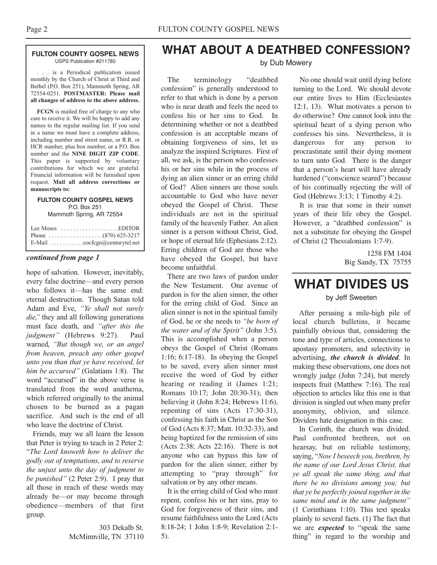### **FULTON COUNTY GOSPEL NEWS** USPS Publication #211780

. . . is a Periodical publication issued monthly by the Church of Christ at Third and Bethel (P.O. Box 251), Mammoth Spring, AR 72554-0251. **POSTMASTER: Please mail all changes of address to the above address.**

**FCGN** is mailed free of charge to any who care to receive it. We will be happy to add any names to the regular mailing list. If you send in a name we must have a complete address, including number and street name, or R.R. or HCR number, plus box number, or a P.O. Box number and the **NINE DIGIT ZIP CODE**. This paper is supported by voluntary contributions for which we are grateful. Financial information will be furnished upon request. **Mail all address corrections or manuscripts to:**

### **FULTON COUNTY GOSPEL NEWS** P.O. Box 251 Mammoth Spring, AR 72554

| Lee Moses $\dots \dots \dots \dots \dots$ . EDITOR          |
|-------------------------------------------------------------|
|                                                             |
| E-Mail $\ldots \ldots \ldots \ldots$ cocfcgn@centurytel.net |

### *continued from page 1*

hope of salvation. However, inevitably, every false doctrine—and every person who follows it—has the same end: eternal destruction. Though Satan told Adam and Eve, *"Ye shall not surely die,"* they and all following generations must face death, and *"after this the judgment"* (Hebrews 9:27). Paul warned, *"But though we, or an angel from heaven, preach any other gospel unto you than that ye have received, let him be accursed"* (Galatians 1:8). The word "accursed" in the above verse is translated from the word anathema, which referred originally to the animal chosen to be burned as a pagan sacrifice. And such is the end of all who leave the doctrine of Christ.

Friends, may we all learn the lesson that Peter is trying to teach in 2 Peter 2: "*The Lord knoweth how to deliver the godly out of temptations, and to reserve the unjust unto the day of judgment to be punished"* (2 Peter 2:9). I pray that all those in reach of these words may already be—or may become through obedience—members of that first group.

> 303 Dekalb St. McMinnville, TN 37110

# **WHAT ABOUT A DEATHBED CONFESSION?**

### by Dub Mowery

The terminology "deathbed confession" is generally understood to refer to that which is done by a person who is near death and feels the need to confess his or her sins to God. In determining whether or not a deathbed confession is an acceptable means of obtaining forgiveness of sins, let us analyze the inspired Scriptures. First of all, we ask, is the person who confesses his or her sins while in the process of dying an alien sinner or an erring child of God? Alien sinners are those souls accountable to God who have never obeyed the Gospel of Christ. These individuals are not in the spiritual family of the heavenly Father. An alien sinner is a person without Christ, God, or hope of eternal life (Ephesians 2:12). Erring children of God are those who have obeyed the Gospel, but have become unfaithful.

There are two laws of pardon under the New Testament. One avenue of pardon is for the alien sinner, the other for the erring child of God. Since an alien sinner is not in the spiritual family of God, he or she needs to *"be born of the water and of the Spirit"* (John 3:5). This is accomplished when a person obeys the Gospel of Christ (Romans 1:16; 6:17-18). In obeying the Gospel to be saved, every alien sinner must receive the word of God by either hearing or reading it (James 1:21; Romans 10:17; John 20:30-31); then believing it (John 8:24; Hebrews 11:6), repenting of sins (Acts 17:30-31), confessing his faith in Christ as the Son of God (Acts 8:37; Matt. 10:32-33), and being baptized for the remission of sins (Acts 2:38; Acts 22:16). There is not anyone who can bypass this law of pardon for the alien sinner, either by attempting to "pray through" for salvation or by any other means.

It is the erring child of God who must repent, confess his or her sins, pray to God for forgiveness of their sins, and resume faithfulness unto the Lord (Acts 8:18-24; 1 John 1:8-9; Revelation 2:1- 5).

No one should wait until dying before turning to the Lord. We should devote our entire lives to Him (Ecclesiastes 12:1, 13). What motivates a person to do otherwise? One cannot look into the spiritual heart of a dying person who confesses his sins. Nevertheless, it is dangerous for any person to procrastinate until their dying moment to turn unto God. There is the danger that a person's heart will have already hardened ("conscience seared") because of his continually rejecting the will of God (Hebrews 3:13; 1 Timothy 4:2).

It is true that some in their sunset years of their life obey the Gospel. However, a "deathbed confession" is not a substitute for obeying the Gospel of Christ (2 Thessalonians 1:7-9).

> 1258 FM 1404 Big Sandy, TX 75755

## **WHAT DIVIDES US** by Jeff Sweeten

After perusing a mile-high pile of local church bulletins, it became painfully obvious that, considering the tone and type of articles, connections to apostasy promoters, and selectivity in advertising, *the church is divided*. In making these observations, one does not wrongly judge (John 7:24), but merely inspects fruit (Matthew 7:16). The real objection to articles like this one is that division is singled out when many prefer anonymity, oblivion, and silence. Dividers hate designation in this case.

In Corinth, the church was divided. Paul confronted brethren, not on hearsay, but on reliable testimony, saying, "*Now I beseech you, brethren, by the name of our Lord Jesus Christ, that ye all speak the same thing, and that there be no divisions among you; but that ye be perfectly joined together in the same mind and in the same judgment"* (1 Corinthians 1:10). This text speaks plainly to several facts. (1) The fact that we are *expected* to "speak the same thing" in regard to the worship and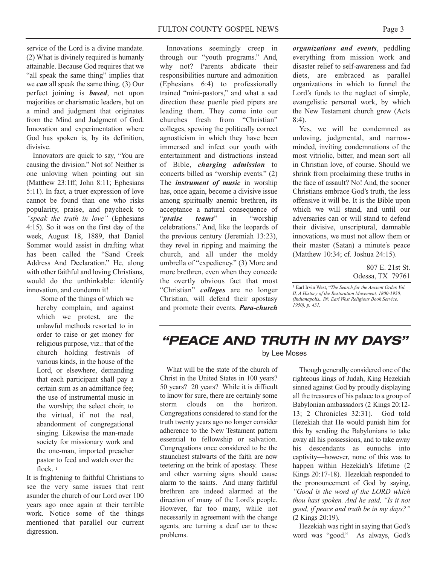service of the Lord is a divine mandate. (2) What is divinely required is humanly attainable. Because God requires that we "all speak the same thing" implies that we *can* all speak the same thing. (3) Our perfect joining is *based*, not upon majorities or charismatic leaders, but on a mind and judgment that originates from the Mind and Judgment of God. Innovation and experimentation where God has spoken is, by its definition, divisive.

Innovators are quick to say, "You are causing the division." Not so! Neither is one unloving when pointing out sin (Matthew 23:1ff; John 8:11; Ephesians 5:11). In fact, a truer expression of love cannot be found than one who risks popularity, praise, and paycheck to *"speak the truth in love"* (Ephesians 4:15). So it was on the first day of the week, August 18, 1889, that Daniel Sommer would assist in drafting what has been called the "Sand Creek Address And Declaration." He, along with other faithful and loving Christians, would do the unthinkable: identify innovation, and condemn it!

Some of the things of which we hereby complain, and against which we protest, are the unlawful methods resorted to in order to raise or get money for religious purpose, viz.: that of the church holding festivals of various kinds, in the house of the Lord, or elsewhere, demanding that each participant shall pay a certain sum as an admittance fee; the use of instrumental music in the worship; the select choir, to the virtual, if not the real, abandonment of congregational singing. Likewise the man-made society for missionary work and the one-man, imported preacher pastor to feed and watch over the flock.<sup>1</sup>

It is frightening to faithful Christians to see the very same issues that rent asunder the church of our Lord over 100 years ago once again at their terrible work. Notice some of the things mentioned that parallel our current digression.

Innovations seemingly creep in through our "youth programs." And, why not? Parents abdicate their responsibilities nurture and admonition (Ephesians 6:4) to professionally trained "mini-pastors," and what a sad direction these puerile pied pipers are leading them. They come into our churches fresh from "Christian" colleges, spewing the politically correct agnosticism in which they have been immersed and infect our youth with entertainment and distractions instead of Bible, *charging admission* to concerts billed as "worship events." (2) The *instrument of music* in worship has, once again, become a divisive issue among spiritually anemic brethren, its acceptance a natural consequence of "*praise teams*" in "worship celebrations." And, like the leopards of the previous century (Jeremiah 13:23), they revel in ripping and maiming the church, and all under the moldy umbrella of "expediency." (3) More and more brethren, even when they concede the overtly obvious fact that most "Christian" *colleges* are no longer Christian, will defend their apostasy and promote their events. *Para-church*

*organizations and events*, peddling everything from mission work and disaster relief to self-awareness and fad diets, are embraced as parallel organizations in which to funnel the Lord's funds to the neglect of simple, evangelistic personal work, by which the New Testament church grew (Acts 8:4).

Yes, we will be condemned as unloving, judgmental, and narrowminded, inviting condemnations of the most vitriolic, bitter, and mean sort–all in Christian love, of course. Should we shrink from proclaiming these truths in the face of assault? No! And, the sooner Christians embrace God's truth, the less offensive it will be. It is the Bible upon which we will stand, and until our adversaries can or will stand to defend their divisive, unscriptural, damnable innovations, we must not allow them or their master (Satan) a minute's peace (Matthew 10:34; cf. Joshua 24:15).

> 807 E. 21st St. Odessa, TX 79761

1 Earl Irvin West, "*The Search for the Ancient Order, Vol. II, A History of the Restoration Movement, 1800-1950, (Indianapolis,, IN: Earl West Religious Book Service, 1950), p. 431.*

# *"PEACE AND TRUTH IN MY DAYS"*

What will be the state of the church of Christ in the United States in 100 years? 50 years? 20 years? While it is difficult to know for sure, there are certainly some storm clouds on the horizon. Congregations considered to stand for the truth twenty years ago no longer consider adherence to the New Testament pattern essential to fellowship or salvation. Congregations once considered to be the staunchest stalwarts of the faith are now teetering on the brink of apostasy. These and other warning signs should cause alarm to the saints. And many faithful brethren are indeed alarmed at the direction of many of the Lord's people. However, far too many, while not necessarily in agreement with the change agents, are turning a deaf ear to these problems.

### by Lee Moses

Though generally considered one of the righteous kings of Judah, King Hezekiah sinned against God by proudly displaying all the treasures of his palace to a group of Babylonian ambassadors (2 Kings 20:12- 13; 2 Chronicles 32:31). God told Hezekiah that He would punish him for this by sending the Babylonians to take away all his possessions, and to take away his descendants as eunuchs into captivity—however, none of this was to happen within Hezekiah's lifetime (2 Kings 20:17-18). Hezekiah responded to the pronouncement of God by saying, *"Good is the word of the LORD which thou hast spoken. And he said, "Is it not good, if peace and truth be in my days?"* (2 Kings 20:19).

Hezekiah was right in saying that God's word was "good." As always, God's